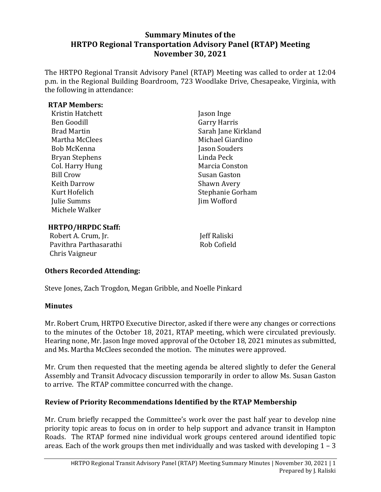## **Summary Minutes of the HRTPO Regional Transportation Advisory Panel (RTAP) Meeting November 30, 2021**

The HRTPO Regional Transit Advisory Panel (RTAP) Meeting was called to order at 12:04 p.m. in the Regional Building Boardroom, 723 Woodlake Drive, Chesapeake, Virginia, with the following in attendance:

#### **RTAP Members:**

| Kristin Hatchett      | Jason Inge          |
|-----------------------|---------------------|
| Ben Goodill           | <b>Garry Harris</b> |
| <b>Brad Martin</b>    | Sarah Jane Kirkland |
| Martha McClees        | Michael Giardino    |
| Bob McKenna           | Jason Souders       |
| <b>Bryan Stephens</b> | Linda Peck          |
| Col. Harry Hung       | Marcia Conston      |
| <b>Bill Crow</b>      | Susan Gaston        |
| <b>Keith Darrow</b>   | Shawn Avery         |
| Kurt Hofelich         | Stephanie Gorham    |
| Julie Summs           | Jim Wofford         |
| Michele Walker        |                     |
|                       |                     |

#### **HRTPO/HRPDC Staff:**

Robert A. Crum, Jr. Pavithra Parthasarathi Chris Vaigneur

Jeff Raliski Rob Cofield

### **Others Recorded Attending:**

Steve Jones, Zach Trogdon, Megan Gribble, and Noelle Pinkard

### **Minutes**

Mr. Robert Crum, HRTPO Executive Director, asked if there were any changes or corrections to the minutes of the October 18, 2021, RTAP meeting, which were circulated previously. Hearing none, Mr. Jason Inge moved approval of the October 18, 2021 minutes as submitted, and Ms. Martha McClees seconded the motion. The minutes were approved.

Mr. Crum then requested that the meeting agenda be altered slightly to defer the General Assembly and Transit Advocacy discussion temporarily in order to allow Ms. Susan Gaston to arrive. The RTAP committee concurred with the change.

### **Review of Priority Recommendations Identified by the RTAP Membership**

Mr. Crum briefly recapped the Committee's work over the past half year to develop nine priority topic areas to focus on in order to help support and advance transit in Hampton Roads. The RTAP formed nine individual work groups centered around identified topic areas. Each of the work groups then met individually and was tasked with developing  $1 - 3$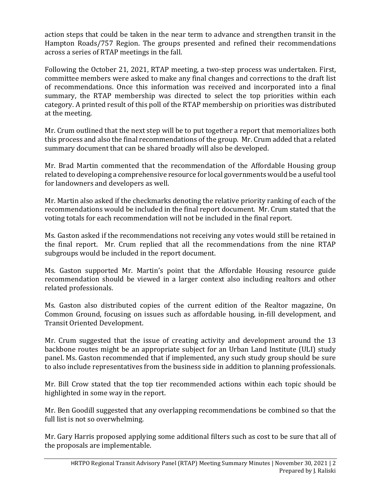action steps that could be taken in the near term to advance and strengthen transit in the Hampton Roads/757 Region. The groups presented and refined their recommendations across a series of RTAP meetings in the fall.

Following the October 21, 2021, RTAP meeting, a two-step process was undertaken. First, committee members were asked to make any final changes and corrections to the draft list of recommendations. Once this information was received and incorporated into a final summary, the RTAP membership was directed to select the top priorities within each category. A printed result of this poll of the RTAP membership on priorities was distributed at the meeting.

Mr. Crum outlined that the next step will be to put together a report that memorializes both this process and also the final recommendations of the group. Mr. Crum added that a related summary document that can be shared broadly will also be developed.

Mr. Brad Martin commented that the recommendation of the Affordable Housing group related to developing a comprehensive resource for local governments would be a useful tool for landowners and developers as well.

Mr. Martin also asked if the checkmarks denoting the relative priority ranking of each of the recommendations would be included in the final report document. Mr. Crum stated that the voting totals for each recommendation will not be included in the final report.

Ms. Gaston asked if the recommendations not receiving any votes would still be retained in the final report. Mr. Crum replied that all the recommendations from the nine RTAP subgroups would be included in the report document.

Ms. Gaston supported Mr. Martin's point that the Affordable Housing resource guide recommendation should be viewed in a larger context also including realtors and other related professionals.

Ms. Gaston also distributed copies of the current edition of the Realtor magazine, On Common Ground, focusing on issues such as affordable housing, in-fill development, and Transit Oriented Development.

Mr. Crum suggested that the issue of creating activity and development around the 13 backbone routes might be an appropriate subject for an Urban Land Institute (ULI) study panel. Ms. Gaston recommended that if implemented, any such study group should be sure to also include representatives from the business side in addition to planning professionals.

Mr. Bill Crow stated that the top tier recommended actions within each topic should be highlighted in some way in the report.

Mr. Ben Goodill suggested that any overlapping recommendations be combined so that the full list is not so overwhelming.

Mr. Gary Harris proposed applying some additional filters such as cost to be sure that all of the proposals are implementable.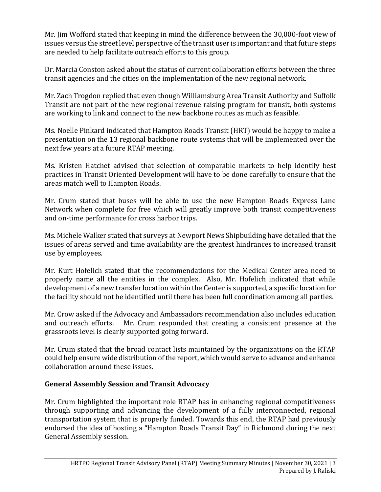Mr. Jim Wofford stated that keeping in mind the difference between the 30,000-foot view of issues versus the street level perspective of the transit user is important and that future steps are needed to help facilitate outreach efforts to this group.

Dr. Marcia Conston asked about the status of current collaboration efforts between the three transit agencies and the cities on the implementation of the new regional network.

Mr. Zach Trogdon replied that even though Williamsburg Area Transit Authority and Suffolk Transit are not part of the new regional revenue raising program for transit, both systems are working to link and connect to the new backbone routes as much as feasible.

Ms. Noelle Pinkard indicated that Hampton Roads Transit (HRT) would be happy to make a presentation on the 13 regional backbone route systems that will be implemented over the next few years at a future RTAP meeting.

Ms. Kristen Hatchet advised that selection of comparable markets to help identify best practices in Transit Oriented Development will have to be done carefully to ensure that the areas match well to Hampton Roads.

Mr. Crum stated that buses will be able to use the new Hampton Roads Express Lane Network when complete for free which will greatly improve both transit competitiveness and on-time performance for cross harbor trips.

Ms. Michele Walker stated that surveys at Newport News Shipbuilding have detailed that the issues of areas served and time availability are the greatest hindrances to increased transit use by employees.

Mr. Kurt Hofelich stated that the recommendations for the Medical Center area need to properly name all the entities in the complex. Also, Mr. Hofelich indicated that while development of a new transfer location within the Center is supported, a specific location for the facility should not be identified until there has been full coordination among all parties.

Mr. Crow asked if the Advocacy and Ambassadors recommendation also includes education and outreach efforts. Mr. Crum responded that creating a consistent presence at the grassroots level is clearly supported going forward.

Mr. Crum stated that the broad contact lists maintained by the organizations on the RTAP could help ensure wide distribution of the report, which would serve to advance and enhance collaboration around these issues.

# **General Assembly Session and Transit Advocacy**

Mr. Crum highlighted the important role RTAP has in enhancing regional competitiveness through supporting and advancing the development of a fully interconnected, regional transportation system that is properly funded. Towards this end, the RTAP had previously endorsed the idea of hosting a "Hampton Roads Transit Day" in Richmond during the next General Assembly session.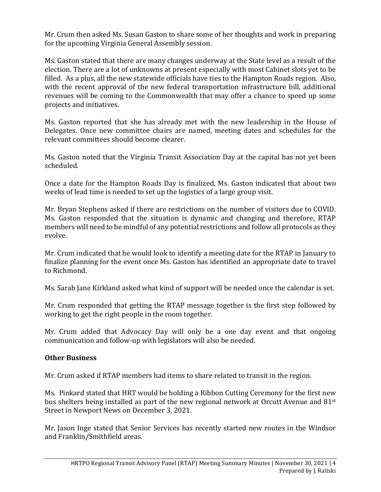Mr. Crum then asked Ms. Susan Gaston to share some of her thoughts and work in preparing for the upcoming Virginia General Assembly session.

Ms. Gaston stated that there are many changes underway at the State level as a result of the election. There are a lot of unknowns at present especially with most Cabinet slots yet to be filled. As a plus, all the new statewide officials have ties to the Hampton Roads region. Also, with the recent approval of the new federal transportation infrastructure bill, additional revenues will be coming to the Commonwealth that may offer a chance to speed up some projects and initiatives.

Ms. Gaston reported that she has already met with the new leadership in the House of Delegates. Once new committee chairs are named, meeting dates and schedules for the relevant committees should become clearer.

Ms. Gaston noted that the Virginia Transit Association Day at the capital has not yet been scheduled.

Once a date for the Hampton Roads Day is finalized, Ms. Gaston indicated that about two weeks of lead time is needed to set up the logistics of a large group visit.

Mr. Bryan Stephens asked if there are restrictions on the number of visitors due to COVID. Ms. Gaston responded that the situation is dynamic and changing and therefore, RTAP members will need to be mindful of any potential restrictions and follow all protocols as they evolve.

Mr. Crum indicated that he would look to identify a meeting date for the RTAP in January to finalize planning for the event once Ms. Gaston has identified an appropriate date to travel to Richmond.

Ms. Sarah Jane Kirkland asked what kind of support will be needed once the calendar is set.

Mr. Crum responded that getting the RTAP message together is the first step followed by working to get the right people in the room together.

Mr. Crum added that Advocacy Day will only be a one day event and that ongoing communication and follow-up with legislators will also be needed.

### **Other Business**

Mr. Crum asked if RTAP members had items to share related to transit in the region.

Ms. Pinkard stated that HRT would be holding a Ribbon Cutting Ceremony for the first new bus shelters being installed as part of the new regional network at Orcutt Avenue and 81st Street in Newport News on December 3, 2021.

Mr. Jason Inge stated that Senior Services has recently started new routes in the Windsor and Franklin/Smithfield areas.